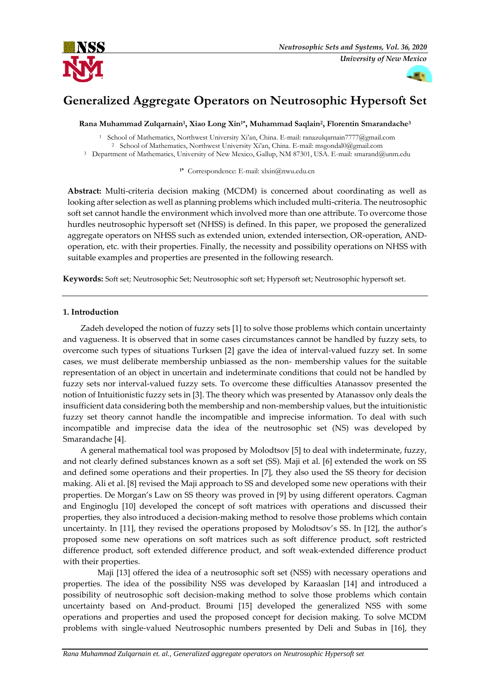

# **Generalized Aggregate Operators on Neutrosophic Hypersoft Set**

**Rana Muhammad Zulqarnain<sup>1</sup> , Xiao Long Xin1\*, Muhammad Saqlain<sup>2</sup> , Florentin Smarandache<sup>3</sup>**

<sup>1</sup> School of Mathematics, Northwest University Xi'an, China. E-mail: ranazulqarnain7777@gmail.com <sup>2</sup> School of Mathematics, Northwest University Xi'an, China. E-mail: msgondal0@gmail.com

<sup>3</sup> Department of Mathematics, University of New Mexico, Gallup, NM 87301, USA. E-mail: smarand@unm.edu

**1\*** Correspondence: E-mail: xlxin@nwu.edu.cn

**Abstract:** Multi-criteria decision making (MCDM) is concerned about coordinating as well as looking after selection as well as planning problems which included multi-criteria. The neutrosophic soft set cannot handle the environment which involved more than one attribute. To overcome those hurdles neutrosophic hypersoft set (NHSS) is defined. In this paper, we proposed the generalized aggregate operators on NHSS such as extended union, extended intersection, OR-operation, ANDoperation, etc. with their properties. Finally, the necessity and possibility operations on NHSS with suitable examples and properties are presented in the following research.

**Keywords:** Soft set; Neutrosophic Set; Neutrosophic soft set; Hypersoft set; Neutrosophic hypersoft set.

# **1. Introduction**

Zadeh developed the notion of fuzzy sets [1] to solve those problems which contain uncertainty and vagueness. It is observed that in some cases circumstances cannot be handled by fuzzy sets, to overcome such types of situations Turksen [2] gave the idea of interval-valued fuzzy set. In some cases, we must deliberate membership unbiassed as the non- membership values for the suitable representation of an object in uncertain and indeterminate conditions that could not be handled by fuzzy sets nor interval-valued fuzzy sets. To overcome these difficulties Atanassov presented the notion of Intuitionistic fuzzy sets in [3]. The theory which was presented by Atanassov only deals the insufficient data considering both the membership and non-membership values, but the intuitionistic fuzzy set theory cannot handle the incompatible and imprecise information. To deal with such incompatible and imprecise data the idea of the neutrosophic set (NS) was developed by Smarandache [4].

A general mathematical tool was proposed by Molodtsov [5] to deal with indeterminate, fuzzy, and not clearly defined substances known as a soft set (SS). Maji et al. [6] extended the work on SS and defined some operations and their properties. In [7], they also used the SS theory for decision making. Ali et al. [8] revised the Maji approach to SS and developed some new operations with their properties. De Morgan's Law on SS theory was proved in [9] by using different operators. Cagman and Enginoglu [10] developed the concept of soft matrices with operations and discussed their properties, they also introduced a decision-making method to resolve those problems which contain uncertainty. In [11], they revised the operations proposed by Molodtsov's SS. In [12], the author's proposed some new operations on soft matrices such as soft difference product, soft restricted difference product, soft extended difference product, and soft weak-extended difference product with their properties.

Maji [13] offered the idea of a neutrosophic soft set (NSS) with necessary operations and properties. The idea of the possibility NSS was developed by Karaaslan [14] and introduced a possibility of neutrosophic soft decision-making method to solve those problems which contain uncertainty based on And-product. Broumi [15] developed the generalized NSS with some operations and properties and used the proposed concept for decision making. To solve MCDM problems with single-valued Neutrosophic numbers presented by Deli and Subas in [16], they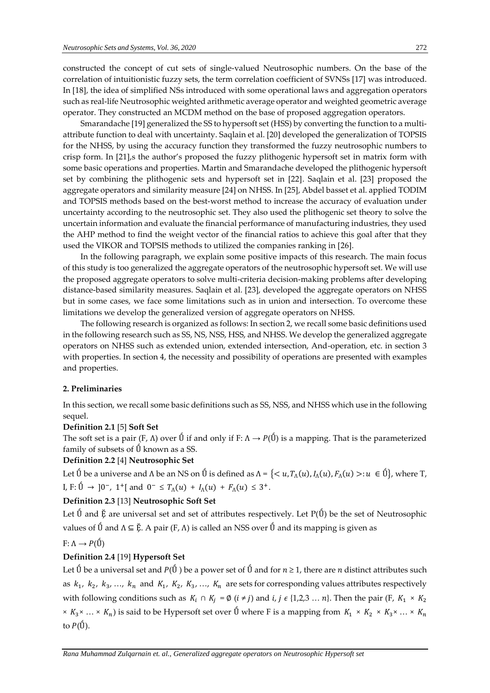constructed the concept of cut sets of single-valued Neutrosophic numbers. On the base of the correlation of intuitionistic fuzzy sets, the term correlation coefficient of SVNSs [17] was introduced. In [18], the idea of simplified NSs introduced with some operational laws and aggregation operators such as real-life Neutrosophic weighted arithmetic average operator and weighted geometric average operator. They constructed an MCDM method on the base of proposed aggregation operators.

Smarandache [19] generalized the SS to hypersoft set (HSS) by converting the function to a multiattribute function to deal with uncertainty. Saqlain et al. [20] developed the generalization of TOPSIS for the NHSS, by using the accuracy function they transformed the fuzzy neutrosophic numbers to crisp form. In [21],s the author's proposed the fuzzy plithogenic hypersoft set in matrix form with some basic operations and properties. Martin and Smarandache developed the plithogenic hypersoft set by combining the plithogenic sets and hypersoft set in [22]. Saqlain et al. [23] proposed the aggregate operators and similarity measure [24] on NHSS. In [25], Abdel basset et al. applied TODIM and TOPSIS methods based on the best-worst method to increase the accuracy of evaluation under uncertainty according to the neutrosophic set. They also used the plithogenic set theory to solve the uncertain information and evaluate the financial performance of manufacturing industries, they used the AHP method to find the weight vector of the financial ratios to achieve this goal after that they used the VIKOR and TOPSIS methods to utilized the companies ranking in [26].

In the following paragraph, we explain some positive impacts of this research. The main focus of this study is too generalized the aggregate operators of the neutrosophic hypersoft set. We will use the proposed aggregate operators to solve multi-criteria decision-making problems after developing distance-based similarity measures. Saqlain et al. [23], developed the aggregate operators on NHSS but in some cases, we face some limitations such as in union and intersection. To overcome these limitations we develop the generalized version of aggregate operators on NHSS.

The following research is organized as follows: In section 2, we recall some basic definitions used in the following research such as SS, NS, NSS, HSS, and NHSS. We develop the generalized aggregate operators on NHSS such as extended union, extended intersection, And-operation, etc. in section 3 with properties. In section 4, the necessity and possibility of operations are presented with examples and properties.

#### **2. Preliminaries**

In this section, we recall some basic definitions such as SS, NSS, and NHSS which use in the following sequel.

## **Definition 2.1** [5] **Soft Set**

The soft set is a pair (F,  $\Lambda$ ) over  $\acute{U}$  if and only if F:  $\Lambda \to P(\acute{U})$  is a mapping. That is the parameterized family of subsets of  $\tilde{U}$  known as a SS.

# **Definition 2.2** [4] **Neutrosophic Set**

Let Ũ be a universe and  $\Lambda$  be an NS on Ũ is defined as  $\Lambda = \{< u, T_\Lambda(u), I_\Lambda(u), F_\Lambda(u) >: u \in \tilde{U}\}\$ , where T, I, F: Û → ]0<sup>-</sup>, 1<sup>+</sup>[ and 0<sup>-</sup> ≤  $T_\Lambda(u)$  +  $I_\Lambda(u)$  +  $F_\Lambda(u)$  ≤ 3<sup>+</sup>.

# **Definition 2.3** [13] **Neutrosophic Soft Set**

Let  $\acute{U}$  and  $\acute{E}$  are universal set and set of attributes respectively. Let P( $\acute{U}$ ) be the set of Neutrosophic values of  $\acute{U}$  and  $\Lambda \subseteq \check{F}$ . A pair  $(F, \Lambda)$  is called an NSS over  $\acute{U}$  and its mapping is given as

# $F: \Lambda \rightarrow P(\tilde{U})$

# **Definition 2.4** [19] **Hypersoft Set**

Let  $\acute{U}$  be a universal set and  $P(\acute{U})$  be a power set of  $\acute{U}$  and for  $n \geq 1$ , there are *n* distinct attributes such as  $k_1$ ,  $k_2$ ,  $k_3$ , ...,  $k_n$  and  $K_1$ ,  $K_2$ ,  $K_3$ , ...,  $K_n$  are sets for corresponding values attributes respectively with following conditions such as  $K_i \cap K_j = \emptyset$   $(i \neq j)$  and  $i, j \in \{1,2,3 \ldots n\}$ . Then the pair  $(F, K_1 \times K_2)$  $\times K_3 \times ... \times K_n$ ) is said to be Hypersoft set over  $\acute{U}$  where F is a mapping from  $K_1 \times K_2 \times K_3 \times ... \times K_n$ to  $P(\hat{U})$ .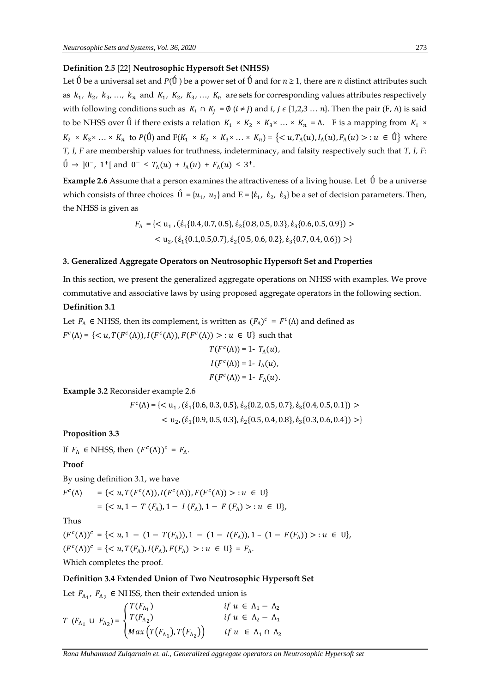# **Definition 2.5** [22] **Neutrosophic Hypersoft Set (NHSS)**

Let  $\acute{U}$  be a universal set and  $P(\acute{U})$  be a power set of  $\acute{U}$  and for  $n \geq 1$ , there are *n* distinct attributes such as  $k_1$ ,  $k_2$ ,  $k_3$ , ...,  $k_n$  and  $K_1$ ,  $K_2$ ,  $K_3$ , ...,  $K_n$  are sets for corresponding values attributes respectively with following conditions such as  $K_i \cap K_j = \emptyset$  ( $i \neq j$ ) and  $i, j \in \{1,2,3 \ldots n\}$ . Then the pair (F,  $\Lambda$ ) is said to be NHSS over  $\tilde{U}$  if there exists a relation  $K_1 \times K_2 \times K_3 \times \ldots \times K_n = \Lambda$ . F is a mapping from  $K_1 \times$  $K_2 \times K_3 \times \ldots \times K_n$  to  $P(\tilde{U})$  and  $F(K_1 \times K_2 \times K_3 \times \ldots \times K_n) = \{ \langle u, T_\Lambda(u), I_\Lambda(u), F_\Lambda(u) \rangle : u \in \tilde{U} \}$  where *T, I, F* are membership values for truthness, indeterminacy, and falsity respectively such that *T, I, F*:  $\hat{U} \to 0^-$ , 1<sup>+</sup>[ and  $0^- \leq T_\Lambda(u) + I_\Lambda(u) + F_\Lambda(u) \leq 3^+$ .

**Example 2.6** Assume that a person examines the attractiveness of a living house. Let  $\acute{U}$  be a universe which consists of three choices  $\tilde{U} = \{u_1, u_2\}$  and  $E = \{\xi_1, \xi_2, \xi_3\}$  be a set of decision parameters. Then, the NHSS is given as

$$
F_{\Lambda} = \{ \langle u_1, (\dot{\epsilon}_1 \{0.4, 0.7, 0.5\}, \dot{\epsilon}_2 \{0.8, 0.5, 0.3\}, \dot{\epsilon}_3 \{0.6, 0.5, 0.9\}) \rangle
$$
  

$$
\langle u_2, (\dot{\epsilon}_1 \{0.1, 0.5, 0.7\}, \dot{\epsilon}_2 \{0.5, 0.6, 0.2\}, \dot{\epsilon}_3 \{0.7, 0.4, 0.6\}) \rangle
$$

#### **3. Generalized Aggregate Operators on Neutrosophic Hypersoft Set and Properties**

In this section, we present the generalized aggregate operations on NHSS with examples. We prove commutative and associative laws by using proposed aggregate operators in the following section. **Definition 3.1** 

Let  $F_{\Lambda} \in \mathbb{N}$ HSS, then its complement, is written as  $(F_{\Lambda})^c = F^c(\Lambda)$  and defined as  $F^c(\Lambda) = \{ \langle u, T(F^c(\Lambda)), I(F^c(\Lambda)), F(F^c(\Lambda)) \rangle : u \in U \}$  such that

$$
T(Fc(\Lambda)) = 1 - T\Lambda(u),
$$
  
\n
$$
I(Fc(\Lambda)) = 1 - I\Lambda(u),
$$
  
\n
$$
F(Fc(\Lambda)) = 1 - F\Lambda(u).
$$

**Example 3.2** Reconsider example 2.6

 $F^{c}(\Lambda) = \{<\mathbf{u}_1, (\dot{\epsilon}_1\{0.6, 0.3, 0.5\}, \dot{\epsilon}_2\{0.2, 0.5, 0.7\}, \dot{\epsilon}_3\{0.4, 0.5, 0.1\})>$  $<$  u<sub>2</sub>, ( $\dot{\epsilon}_1$ {0.9, 0.5, 0.3},  $\dot{\epsilon}_2$ {0.5, 0.4, 0.8},  $\dot{\epsilon}_3$ {0.3, 0.6, 0.4}) >}

## **Proposition 3.3**

If  $F_{\Lambda} \in \mathbb{N}$ HSS, then  $(F^{c}(\Lambda))^{c} = F_{\Lambda}$ .

# **Proof**

By using definition 3.1, we have

$$
F^{c}(\Lambda) = \{ \langle u, T(F^{c}(\Lambda)), I(F^{c}(\Lambda)), F(F^{c}(\Lambda)) \rangle : u \in U \}
$$
  
= \{ \langle u, 1 - T(F\_{\Lambda}), 1 - I(F\_{\Lambda}), 1 - F(F\_{\Lambda}) \rangle : u \in U \},

Thus

 $(F<sup>c</sup>(\Lambda))<sup>c</sup> = { u, 1 - (1 - T(F<sub>\Lambda</sub>)), 1 - (1 - I(F<sub>\Lambda</sub>)), 1 - (1 - F(F<sub>\Lambda</sub>)) > : u \in U},$  $(F^{c}(\Lambda))^{c} = \{ \langle u, T(F_{\Lambda}), I(F_{\Lambda}), F(F_{\Lambda}) \rangle : u \in U \} = F_{\Lambda}.$ Which completes the proof.

#### **Definition 3.4 Extended Union of Two Neutrosophic Hypersoft Set**

Let  $F_{\Lambda_1}$ ,  $F_{\Lambda_2}$   $\in$  NHSS, then their extended union is

$$
T (F_{\Lambda_1} \cup F_{\Lambda_2}) = \begin{cases} T(F_{\Lambda_1}) & \text{if } u \in \Lambda_1 - \Lambda_2 \\ T(F_{\Lambda_2}) & \text{if } u \in \Lambda_2 - \Lambda_1 \\ \text{Max} (T(F_{\Lambda_1}), T(F_{\Lambda_2})) & \text{if } u \in \Lambda_1 \cap \Lambda_2 \end{cases}
$$

*Rana Muhammad Zulqarnain et. al., Generalized aggregate operators on Neutrosophic Hypersoft set*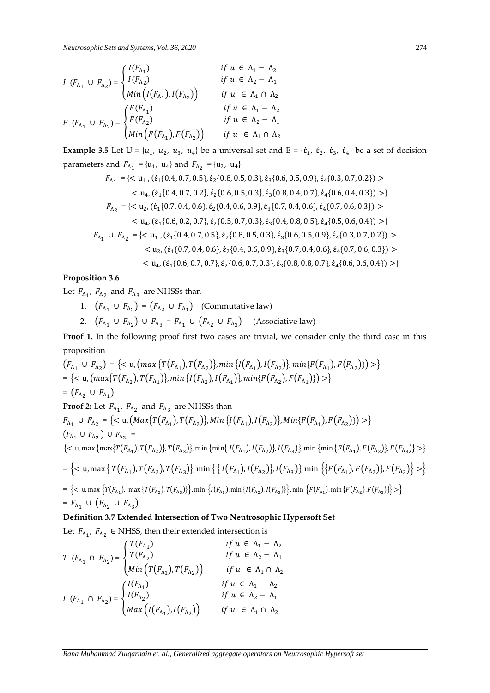$$
I (F_{\Lambda_1} \cup F_{\Lambda_2}) = \begin{cases} I(F_{\Lambda_1}) & \text{if } u \in \Lambda_1 - \Lambda_2 \\ I(F_{\Lambda_2}) & \text{if } u \in \Lambda_2 - \Lambda_1 \\ \text{Min}\left(I(F_{\Lambda_1}), I(F_{\Lambda_2})\right) & \text{if } u \in \Lambda_1 \cap \Lambda_2 \end{cases}
$$
  

$$
F (F_{\Lambda_1} \cup F_{\Lambda_2}) = \begin{cases} F(F_{\Lambda_1}) & \text{if } u \in \Lambda_1 - \Lambda_2 \\ F(F_{\Lambda_2}) & \text{if } u \in \Lambda_1 - \Lambda_2 \\ \text{Min}\left(F(F_{\Lambda_1}), F(F_{\Lambda_2})\right) & \text{if } u \in \Lambda_1 \cap \Lambda_2 \end{cases}
$$

**Example 3.5** Let  $U = \{u_1, u_2, u_3, u_4\}$  be a universal set and  $E = \{\xi_1, \xi_2, \xi_3, \xi_4\}$  be a set of decision parameters and  $F_{\Lambda_1} = \{u_1, u_4\}$  and  $F_{\Lambda_2} = \{u_2, u_4\}$ 

$$
F_{\Lambda_1} = \{< u_1, (\dot{\epsilon}_1\{0.4, 0.7, 0.5\}, \dot{\epsilon}_2\{0.8, 0.5, 0.3\}, \dot{\epsilon}_3\{0.6, 0.5, 0.9\}, \dot{\epsilon}_4\{0.3, 0.7, 0.2\}) > \\
< u_4, (\dot{\epsilon}_1\{0.4, 0.7, 0.2\}, \dot{\epsilon}_2\{0.6, 0.5, 0.3\}, \dot{\epsilon}_3\{0.8, 0.4, 0.7\}, \dot{\epsilon}_4\{0.6, 0.4, 0.3\}) > \\
F_{\Lambda_2} = \{< u_2, (\dot{\epsilon}_1\{0.7, 0.4, 0.6\}, \dot{\epsilon}_2\{0.4, 0.6, 0.9\}, \dot{\epsilon}_3\{0.7, 0.4, 0.6\}, \dot{\epsilon}_4\{0.7, 0.6, 0.3\}) > \\
< u_4, (\dot{\epsilon}_1\{0.6, 0.2, 0.7\}, \dot{\epsilon}_2\{0.5, 0.7, 0.3\}, \dot{\epsilon}_3\{0.4, 0.8, 0.5\}, \dot{\epsilon}_4\{0.5, 0.6, 0.4\}) > \\
F_{\Lambda_1} \cup F_{\Lambda_2} = \{< u_1, (\dot{\epsilon}_1\{0.4, 0.7, 0.5\}, \dot{\epsilon}_2\{0.8, 0.5, 0.3\}, \dot{\epsilon}_3\{0.6, 0.5, 0.9\}, \dot{\epsilon}_4\{0.3, 0.7, 0.2\}) > \\
< u_2, (\dot{\epsilon}_1\{0.7, 0.4, 0.6\}, \dot{\epsilon}_2\{0.4, 0.6, 0.9\}, \dot{\epsilon}_3\{0.7, 0.4, 0.6\}, \dot{\epsilon}_4\{0.7, 0.6, 0.3\}) > \\
< u_4, (\dot{\epsilon}_1\{0.6, 0.7, 0.7\}, \dot{\epsilon}_2\{0.6, 0.7, 0.3\}, \dot{\epsilon}_3\{0.8, 0.8, 0.7\}, \dot{\epsilon}_4\{0.6, 0.6, 0.4\}) >
$$

# **Proposition 3.6**

Let  $F_{\Lambda_1}$ ,  $F_{\Lambda_2}$  and  $F_{\Lambda_3}$  are NHSSs than

- 1.  $(F_{\Lambda_1} \cup F_{\Lambda_2}) = (F_{\Lambda_2} \cup F_{\Lambda_1})$  (Commutative law)
- 2.  $(F_{\Lambda_1} \cup F_{\Lambda_2}) \cup F_{\Lambda_3} = F_{\Lambda_1} \cup (F_{\Lambda_2} \cup F_{\Lambda_3})$  (Associative law)

**Proof 1.** In the following proof first two cases are trivial, we consider only the third case in this proposition

 $(F_{\Lambda_1} \cup F_{\Lambda_2}) = \{ \langle u, (\max\{T(F_{\Lambda_1}), T(F_{\Lambda_2})\}, \min\{I(F_{\Lambda_1}), I(F_{\Lambda_2})\}, \min\{F(F_{\Lambda_1}), F(F_{\Lambda_2})\} \rangle \}$  $=\{<{\rm u}, (max\{T(F_{\Lambda_2}),T(F_{\Lambda_1})\}, min\{I(F_{\Lambda_2}),I(F_{\Lambda_1})\}, min\{F(F_{\Lambda_2}),F(F_{\Lambda_1})\})>\}$  $= (F_{\Lambda_2} \cup F_{\Lambda_1})$ **Proof 2:** Let  $F_{\Lambda_1}$ ,  $F_{\Lambda_2}$  and  $F_{\Lambda_3}$  are NHSSs than  $F_{\Lambda_1} \cup F_{\Lambda_2} = \{ \langle u, (Max\{T(F_{\Lambda_1}), T(F_{\Lambda_2})\}, Min\{I(F_{\Lambda_1}), I(F_{\Lambda_2})\}, Min\{F(F_{\Lambda_1}), F(F_{\Lambda_2})\} \rangle \}$  $(F_{\Lambda_1} \cup F_{\Lambda_2}) \cup F_{\Lambda_3} =$  $\{<$  u, max  $\{\max\{T(F_{\Lambda_1}),T(F_{\Lambda_2})\},T(F_{\Lambda_3})\}$ , min  $\{\min\{I(F_{\Lambda_1}),I(F_{\Lambda_2})\},I(F_{\Lambda_3})\}$ , min  $\{\min\{F(F_{\Lambda_1}),F(F_{\Lambda_2})\},F(F_{\Lambda_3})\}>$  $=\left\{<\mathfrak{u},\max\left\{\textit{T}\left(\textit{F}_{\Lambda_{1}}\textit{),\textit{T}\left(\textit{F}_{\Lambda_{2}}\textit{)}\textit{,}}\right\},\min\left\{\{\textit{I}\left(\textit{F}_{\Lambda_{1}}\textit{),\textit{I}\left(\textit{F}_{\Lambda_{2}}\textit{)}\textit{,}}\right\},\min\left\{\{\textit{F}\left(\textit{F}_{\Lambda_{1}}\textit{),\textit{F}\left(\textit{F}_{\Lambda_{2}}\textit{,}}\right\},\textit{F}\left(\textit{F}_{\Lambda_{3}}\textit{,}\right)\right\}\right$  $=\ \big\{<\mathfrak{u}, \max\big\{T\big(F_{\Lambda_1}\big),\max\big\{T\big(F_{\Lambda_2}\big),T\big(F_{\Lambda_3}\big)\big\}\big\}, \min\big\{I\big(F_{\Lambda_1}\big), \min\big\{I\big(F_{\Lambda_2}\big),I\big(F_{\Lambda_3}\big)\big\}\big\}, \min\big\{F\big(F_{\Lambda_1}\big), \min\big\{F\big(F_{\Lambda_2}\big),F\big(F_{\Lambda_3}\big)\big\}\big\}>\big\}$  $= F_{\Lambda_1} \cup (F_{\Lambda_2} \cup F_{\Lambda_3})$ 

## **Definition 3.7 Extended Intersection of Two Neutrosophic Hypersoft Set**

Let  $F_{\Lambda_1}$ ,  $F_{\Lambda_2} \in \text{NHSS}$ , then their extended intersection is

$$
T (F_{\Lambda_1} \cap F_{\Lambda_2}) = \begin{cases} T(F_{\Lambda_1}) & \text{if } u \in \Lambda_1 - \Lambda_2 \\ T(F_{\Lambda_2}) & \text{if } u \in \Lambda_2 - \Lambda_1 \\ \text{Min} (T(F_{\Lambda_1}), T(F_{\Lambda_2})) & \text{if } u \in \Lambda_1 \cap \Lambda_2 \end{cases}
$$
  

$$
I (F_{\Lambda_1} \cap F_{\Lambda_2}) = \begin{cases} I(F_{\Lambda_1}) & \text{if } u \in \Lambda_1 - \Lambda_2 \\ I(F_{\Lambda_2}) & \text{if } u \in \Lambda_1 - \Lambda_2 \\ \text{Max} (I(F_{\Lambda_1}), I(F_{\Lambda_2})) & \text{if } u \in \Lambda_1 \cap \Lambda_2 \end{cases}
$$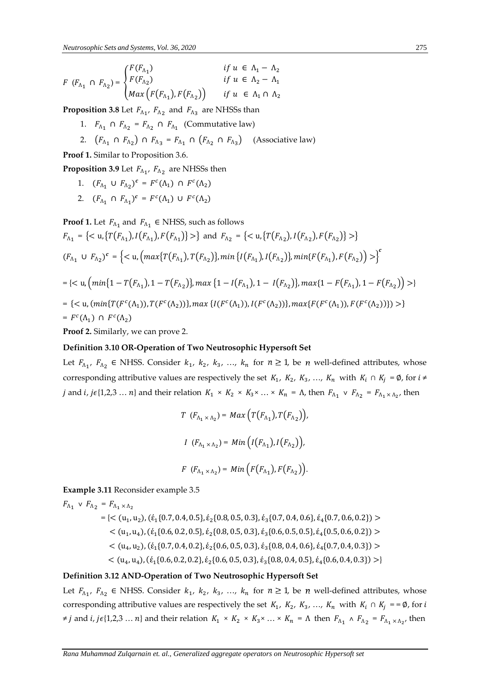$$
F\ (F_{\Lambda_1}\ \cap\ F_{\Lambda_2}) = \begin{cases} F(F_{\Lambda_1}) & \text{if } u \in \Lambda_1 - \Lambda_2 \\ F(F_{\Lambda_2}) & \text{if } u \in \Lambda_2 - \Lambda_1 \\ \text{Max}\left(F(F_{\Lambda_1}), F(F_{\Lambda_2})\right) & \text{if } u \in \Lambda_1 \cap \Lambda_2 \end{cases}
$$

**Proposition 3.8** Let  $F_{\Lambda_1}$ ,  $F_{\Lambda_2}$  and  $F_{\Lambda_3}$  are NHSSs than

- 1.  $F_{\Lambda_1} \cap F_{\Lambda_2} = F_{\Lambda_2} \cap F_{\Lambda_1}$  (Commutative law)
- 2.  $(F_{\Lambda_1} \cap F_{\Lambda_2}) \cap F_{\Lambda_3} = F_{\Lambda_1} \cap (F_{\Lambda_2} \cap F_{\Lambda_3})$  (Associative law)

**Proof 1.** Similar to Proposition 3.6.

**Proposition 3.9** Let  $F_{\Lambda_1}$ ,  $F_{\Lambda_2}$  are NHSSs then

- 1.  $(F_{\Lambda_1} \cup F_{\Lambda_2})^c = F^c(\Lambda_1) \cap F^c(\Lambda_2)$
- 2.  $(F_{\Lambda_1} \cap F_{\Lambda_1})^c = F^c(\Lambda_1) \cup F^c(\Lambda_2)$

**Proof 1.** Let  $F_{\Lambda_1}$  and  $F_{\Lambda_1} \in \text{NHSS}$ , such as follows

$$
F_{\Lambda_1} = \{ \langle u, \{ T(F_{\Lambda_1}), I(F_{\Lambda_1}), F(F_{\Lambda_1}) \} \rangle \} \text{ and } F_{\Lambda_2} = \{ \langle u, \{ T(F_{\Lambda_2}), I(F_{\Lambda_2}), F(F_{\Lambda_2}) \} \rangle \}
$$
\n
$$
(F_{\Lambda_1} \cup F_{\Lambda_2})^c = \{ \langle u, \left( \max \{ T(F_{\Lambda_1}), T(F_{\Lambda_2}) \}, \min \{ I(F_{\Lambda_1}), I(F_{\Lambda_2}) \}, \min \{ F(F_{\Lambda_1}), F(F_{\Lambda_2}) \} \rangle \} \}^c
$$
\n
$$
= \{ \langle u, \left( \min \{ 1 - T(F_{\Lambda_1}), 1 - T(F_{\Lambda_2}) \}, \max \{ 1 - I(F_{\Lambda_1}), 1 - I(F_{\Lambda_2}) \}, \max \{ 1 - F(F_{\Lambda_1}), 1 - F(F_{\Lambda_2}) \} \rangle \} \} \}^c
$$
\n
$$
= \{ \langle u, \left( \min \{ T(F^c(\Lambda_1)), T(F^c(\Lambda_2)) \}, \max \{ I(F^c(\Lambda_1)), I(F^c(\Lambda_2)) \}, \max \{ F(F^c(\Lambda_1)), F(F^c(\Lambda_2)) \} \} \rangle \} \}^c
$$
\n
$$
= F^c(\Lambda_1) \cap F^c(\Lambda_2)
$$
\nProof 2. Similarly, we can prove 2.

# **Definition 3.10 OR-Operation of Two Neutrosophic Hypersoft Set**

Let  $F_{\Lambda_1}$ ,  $F_{\Lambda_2}$   $\in$  NHSS. Consider  $k_1$ ,  $k_2$ ,  $k_3$ , ...,  $k_n$  for  $n \ge 1$ , be n well-defined attributes, whose corresponding attributive values are respectively the set  $K_1$ ,  $K_2$ ,  $K_3$ , ...,  $K_n$  with  $K_i \cap K_j = \emptyset$ , for  $i \neq j$ *j* and *i*, *j*  $\epsilon$ {1,2,3 ... *n*} and their relation  $K_1 \times K_2 \times K_3 \times \ldots \times K_n = \Lambda$ , then  $F_{\Lambda_1} \vee F_{\Lambda_2} = F_{\Lambda_1 \times \Lambda_2}$ , then

$$
T\ (F_{\Lambda_1 \times \Lambda_2}) = Max\left(T(F_{\Lambda_1}), T(F_{\Lambda_2})\right),
$$
  

$$
I\ (F_{\Lambda_1 \times \Lambda_2}) = Min\left(I(F_{\Lambda_1}), I(F_{\Lambda_2})\right),
$$
  

$$
F\ (F_{\Lambda_1 \times \Lambda_2}) = Min\left(F(F_{\Lambda_1}), F(F_{\Lambda_2})\right).
$$

**Example 3.11** Reconsider example 3.5

$$
F_{\Lambda_1} \vee F_{\Lambda_2} = F_{\Lambda_1 \times \Lambda_2}
$$
  
= { $(u_1, u_2), (\xi_1 \{0.7, 0.4, 0.5\}, \xi_2 \{0.8, 0.5, 0.3\}, \xi_3 \{0.7, 0.4, 0.6\}, \xi_4 \{0.7, 0.6, 0.2\})$  >  
 $(u_1, u_4), (\xi_1 \{0.6, 0.2, 0.5\}, \xi_2 \{0.8, 0.5, 0.3\}, \xi_3 \{0.6, 0.5, 0.5\}, \xi_4 \{0.5, 0.6, 0.2\})$   
 $(u_4, u_2), (\xi_1 \{0.7, 0.4, 0.2\}, \xi_2 \{0.6, 0.5, 0.3\}, \xi_3 \{0.8, 0.4, 0.6\}, \xi_4 \{0.7, 0.4, 0.3\})$   
 $(u_4, u_4), (\xi_1 \{0.6, 0.2, 0.2\}, \xi_2 \{0.6, 0.5, 0.3\}, \xi_3 \{0.8, 0.4, 0.5\}, \xi_4 \{0.6, 0.4, 0.3\})$ 

### **Definition 3.12 AND-Operation of Two Neutrosophic Hypersoft Set**

Let  $F_{\Lambda_1}$ ,  $F_{\Lambda_2}$   $\in$  NHSS. Consider  $k_1$ ,  $k_2$ ,  $k_3$ , ...,  $k_n$  for  $n \ge 1$ , be n well-defined attributes, whose corresponding attributive values are respectively the set  $K_1$ ,  $K_2$ ,  $K_3$ , ...,  $K_n$  with  $K_i \cap K_j = = \emptyset$ , for i  $\neq j$  and *i*,  $j\epsilon\{1,2,3...n\}$  and their relation  $K_1 \times K_2 \times K_3 \times ... \times K_n = \Lambda$  then  $F_{\Lambda_1} \wedge F_{\Lambda_2} = F_{\Lambda_1 \times \Lambda_2}$ , then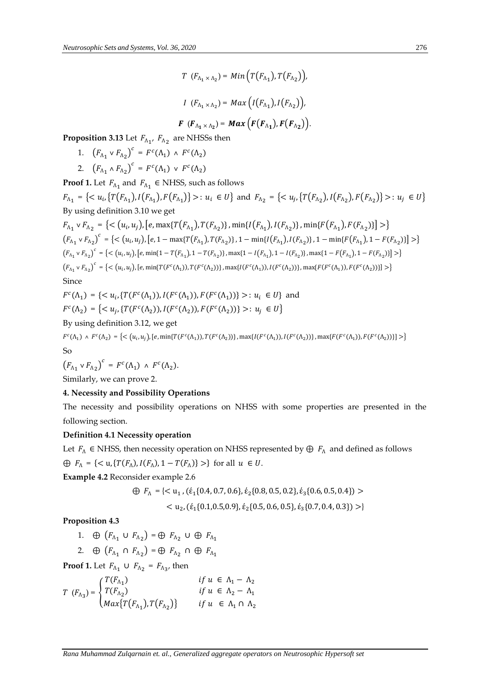$$
T\ (F_{\Lambda_1\times\Lambda_2}) = Min\left(T(F_{\Lambda_1}), T(F_{\Lambda_2})\right),
$$
  

$$
I\ (F_{\Lambda_1\times\Lambda_2}) = Max\left(I(F_{\Lambda_1}), I(F_{\Lambda_2})\right),
$$
  

$$
F\ (F_{\Lambda_1\times\Lambda_2}) = Max\left(F(F_{\Lambda_1}), F(F_{\Lambda_2})\right).
$$

**Proposition 3.13** Let  $F_{\Lambda_{1'}}$ ,  $F_{\Lambda_{2}}$  are NHSSs then

- 1.  $(F_{\Lambda_1} \vee F_{\Lambda_2})^c = F^c(\Lambda_1) \wedge F^c(\Lambda_2)$
- 2.  $(F_{\Lambda_1} \wedge F_{\Lambda_2})^c = F^c(\Lambda_1) \vee F^c(\Lambda_2)$

**Proof 1.** Let  $F_{\Lambda_1}$  and  $F_{\Lambda_1} \in \text{NHSS}$ , such as follows  $F_{\Lambda_1} = \{ \langle u_i, \{ T(F_{\Lambda_1}), I(F_{\Lambda_1}), F(F_{\Lambda_1}) \} \rangle : u_i \in U \}$  and  $F_{\Lambda_2} = \{ \langle u_i, \{ T(F_{\Lambda_2}), I(F_{\Lambda_2}), F(F_{\Lambda_2}) \} \rangle : u_j \in U \}$ By using definition 3.10 we get

 $F_{\Lambda_1} \vee F_{\Lambda_2} = \{ \langle (u_i, u_j), [e, \max\{T(F_{\Lambda_1}), T(F_{\Lambda_2})\}, \min\{I(F_{\Lambda_1}), I(F_{\Lambda_2})\}, \min\{F(F_{\Lambda_1}), F(F_{\Lambda_2})\} \rangle \} \rangle$  $(F_{\Lambda_1} \vee F_{\Lambda_2})^c = \{ \langle (u_i, u_j), [e, 1 - \max\{T(F_{\Lambda_1}), T(F_{\Lambda_2})\}, 1 - \min\{I(F_{\Lambda_1}), I(F_{\Lambda_2})\}, 1 - \min\{F(F_{\Lambda_1}), 1 - F(F_{\Lambda_2})\} \rangle \} \rangle$  $(F_{\Lambda_1} \vee F_{\Lambda_2})^c = \{ \langle (u_i, u_j), [e, \min\{1 - T(F_{\Lambda_1}), 1 - T(F_{\Lambda_2})\}, \max\{1 - I(F_{\Lambda_1}), 1 - I(F_{\Lambda_2})\}, \max\{1 - F(F_{\Lambda_1}), 1 - F(F_{\Lambda_2})\} \rangle \}$  $(F_{\Lambda_1} \vee F_{\Lambda_2})^c = \{ \langle (u_i, u_j), [e, \min\{T(F^c(\Lambda_1)), T(F^c(\Lambda_2))\}, \max\{I(F^c(\Lambda_1)), I(F^c(\Lambda_2))\}, \max\{F(F^c(\Lambda_1)), F(F^c(\Lambda_2))\} \rangle \}$ Since

$$
F^{c}(\Lambda_{1}) = \{ \langle u_{i}, \{ T(F^{c}(\Lambda_{1})), I(F^{c}(\Lambda_{1})), F(F^{c}(\Lambda_{1})) \} \rangle : u_{i} \in U \} \text{ and}
$$
  

$$
F^{c}(\Lambda_{2}) = \{ \langle u_{j}, \{ T(F^{c}(\Lambda_{2})), I(F^{c}(\Lambda_{2})) \} F(F^{c}(\Lambda_{2})) \} \rangle : u_{j} \in U \}
$$

By using definition 3.12, we get

$$
F^{c}(\Lambda_{1}) \wedge F^{c}(\Lambda_{2}) = \left\{ \langle (u_{i}, u_{j}), [e, \min\{T(F^{c}(\Lambda_{1})), T(F^{c}(\Lambda_{2}))\}, \max\{I(F^{c}(\Lambda_{1})), I(F^{c}(\Lambda_{2}))\}, \max\{F(F^{c}(\Lambda_{1})), F(F^{c}(\Lambda_{2}))\} \rangle \right\}
$$
  
So

$$
\left(F_{\Lambda_1}\vee F_{\Lambda_2}\right)^c\,=\,F^c(\Lambda_1)\,\wedge\,F^c(\Lambda_2).
$$

Similarly, we can prove 2.

# **4. Necessity and Possibility Operations**

The necessity and possibility operations on NHSS with some properties are presented in the following section.

# **Definition 4.1 Necessity operation**

Let  $F_\Lambda$  ∈ NHSS, then necessity operation on NHSS represented by ⊕  $F_\Lambda$  and defined as follows  $\bigoplus F_{\Lambda} = \{ \langle u, \{ T(F_{\Lambda}), I(F_{\Lambda}), 1-T(F_{\Lambda}) \} \rangle \}$  for all  $u \in U$ .

**Example 4.2** Reconsider example 2.6

$$
\oplus F_{\Lambda} = \{ \langle u_1, (\dot{\epsilon}_1 \{0.4, 0.7, 0.6\}, \dot{\epsilon}_2 \{0.8, 0.5, 0.2\}, \dot{\epsilon}_3 \{0.6, 0.5, 0.4\}) \rangle
$$
  
< 
$$
\langle u_2, (\dot{\epsilon}_1 \{0.1, 0.5, 0.9\}, \dot{\epsilon}_2 \{0.5, 0.6, 0.5\}, \dot{\epsilon}_3 \{0.7, 0.4, 0.3\}) \rangle \}
$$

**Proposition 4.3**

1. 
$$
\oplus
$$
  $(F_{\Lambda_1} \cup F_{\Lambda_2}) = \oplus F_{\Lambda_2} \cup \oplus F_{\Lambda_1}$ 

2. 
$$
\oplus (F_{\Lambda_1} \cap F_{\Lambda_2}) = \oplus F_{\Lambda_2} \cap \oplus F_{\Lambda_1}
$$

**Proof 1.** Let  $F_{\Lambda_1} \cup F_{\Lambda_2} = F_{\Lambda_3}$ , then

$$
T (F_{\Lambda_3}) = \begin{cases} T(F_{\Lambda_1}) & \text{if } u \in \Lambda_1 - \Lambda_2 \\ T(F_{\Lambda_2}) & \text{if } u \in \Lambda_2 - \Lambda_1 \\ \text{Max} \{ T(F_{\Lambda_1}), T(F_{\Lambda_2}) \} & \text{if } u \in \Lambda_1 \cap \Lambda_2 \end{cases}
$$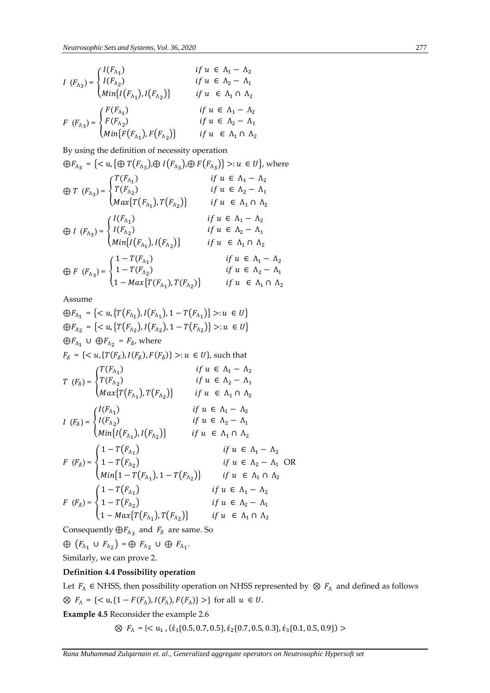$$
I (F_{\Lambda_3}) = \begin{cases} I(F_{\Lambda_1}) & \text{if } u \in \Lambda_1 - \Lambda_2 \\ I(F_{\Lambda_2}) & \text{if } u \in \Lambda_2 - \Lambda_1 \\ \text{Min}\{I(F_{\Lambda_1}), I(F_{\Lambda_2})\} & \text{if } u \in \Lambda_1 \cap \Lambda_2 \\ F (F_{\Lambda_3}) = \begin{cases} F(F_{\Lambda_1}) & \text{if } u \in \Lambda_1 - \Lambda_2 \\ F(F_{\Lambda_2}) & \text{if } u \in \Lambda_1 - \Lambda_2 \\ \text{Min}\{F(F_{\Lambda_1}), F(F_{\Lambda_2})\} & \text{if } u \in \Lambda_1 \cap \Lambda_2 \end{cases} \end{cases}
$$

By using the definition of necessity operation

 $\bigoplus F_{\Lambda_3} = \{ \langle u, \{\oplus T(F_{\Lambda_3}), \oplus I(F_{\Lambda_3}), \oplus F(F_{\Lambda_3}) \} \rangle : u \in U \},$  where  $\bigoplus T$   $(F_{\Lambda_3}) = \{$  $T(F_{\Lambda_1})$   $if \ u \in \Lambda_1 - \Lambda_2$  $T(F_{\Lambda_2})$  if  $u \in \Lambda_2 - \Lambda_1$  $Max\{T(F_{\Lambda_1}), T(F_{\Lambda_2})\}$  if  $u \in \Lambda_1 \cap \Lambda_2$  $\bigoplus I$   $(F_{\Lambda_3}) = \left\{$  $I(F_{\Lambda_1})$   $if \ u \in \Lambda_1 - \Lambda_2$  $I(F_{\Lambda_2})$  if  $u \in \Lambda_2 - \Lambda_1$  $Min\{I(F_{\Lambda_1}), I(F_{\Lambda_2})\}$  if  $u \in \Lambda_1 \cap \Lambda_2$  $\bigoplus F$   $(F_{\Lambda_3}) = \{$  $1 - T(F_{\Lambda_1})$   $if \ u \in \Lambda_1 - \Lambda_2$  $1 - T(F_{\Lambda_2})$   $if \ u \in \Lambda_2 - \Lambda_1$  $1 - Max\{T(F_{\Lambda_1}), T(F_{\Lambda_2})\}$  if  $u \in \Lambda_1 \cap \Lambda_2$ 

Assume

$$
\bigoplus F_{\Lambda_1} = \{ \langle u, \{ T(F_{\Lambda_1}), I(F_{\Lambda_1}), 1 - T(F_{\Lambda_1}) \} \rangle : u \in U \}
$$
  
\n
$$
\bigoplus F_{\Lambda_2} = \{ \langle u, \{ T(F_{\Lambda_2}), I(F_{\Lambda_2}), 1 - T(F_{\Lambda_2}) \} \rangle : u \in U \}
$$
  
\n
$$
\bigoplus F_{\Lambda_1} \cup \bigoplus F_{\Lambda_2} = F_{\delta}, \text{ where}
$$
  
\n
$$
F_{\delta} = \{ \langle u, \{ T(F_{\delta}), I(F_{\delta}), F(F_{\delta}) \} \rangle : u \in U \}, \text{ such that}
$$
  
\n
$$
T(F_{\delta}) = \begin{cases} T(F_{\Lambda_1}) & \text{if } u \in \Lambda_1 - \Lambda_2 \\ T(F_{\Lambda_2}) & \text{if } u \in \Lambda_2 - \Lambda_1 \end{cases}
$$
  
\n
$$
I(F_{\delta}) = \begin{cases} I(F_{\Lambda_1}) & \text{if } u \in \Lambda_1 - \Lambda_2 \\ I(F_{\Lambda_2}) & \text{if } u \in \Lambda_1 - \Lambda_2 \end{cases}
$$
  
\n
$$
I(F_{\delta}) = \begin{cases} I(F_{\Lambda_1}) & \text{if } u \in \Lambda_1 - \Lambda_2 \\ I(F_{\Lambda_2}) & \text{if } u \in \Lambda_2 - \Lambda_1 \end{cases}
$$
  
\n
$$
F(F_{\delta}) = \begin{cases} 1 - T(F_{\Lambda_1}) & \text{if } u \in \Lambda_1 - \Lambda_2 \\ 1 - T(F_{\Lambda_2}) & \text{if } u \in \Lambda_1 - \Lambda_2 \\ 1 - T(F_{\Lambda_1}), 1 - T(F_{\Lambda_2}) \end{cases}
$$
  
\n
$$
F(H_{\delta}) = \begin{cases} 1 - T(F_{\Lambda_1}) & \text{if } u \in \Lambda_1 - \Lambda_2 \\ 1 - T(F_{\Lambda_1}), 1 - T(F_{\Lambda_2}) \end{cases}
$$
  
\n
$$
F(H_{\delta}) = \begin{cases} 1 - T(F_{\Lambda_1}) & \text{if } u \in \Lambda_1 - \Lambda_2 \\ 1 - T(F_{\Lambda_2}) & \text{if } u \in \Lambda_1 - \Lambda_2 \\ 1 - \text{Max}\{ T(F_{\
$$

Consequently  $\bigoplus F_{\Lambda_3}$  and  $F_\delta$  are same. So

 $\oplus$   $(F_{\Lambda_1} \cup F_{\Lambda_2}) = \oplus F_{\Lambda_2} \cup \oplus F_{\Lambda_1}.$ Similarly, we can prove 2.

#### **Definition 4.4 Possibility operation**

Let  $F_A \in$  NHSS, then possibility operation on NHSS represented by  $\otimes F_A$  and defined as follows  $\otimes$   $F_{\Lambda} = \{ \langle u, \{1 - F(F_{\Lambda}), I(F_{\Lambda}), F(F_{\Lambda})\} \rangle \}$  for all  $u \in U$ .

**Example 4.5** Reconsider the example 2.6

 $\otimes$   $F_{\Lambda} = \{<\mathbf{u}_1, (\dot{\epsilon}_1\{0.5, 0.7, 0.5\}, \dot{\epsilon}_2\{0.7, 0.5, 0.3\}, \dot{\epsilon}_3\{0.1, 0.5, 0.9\})>$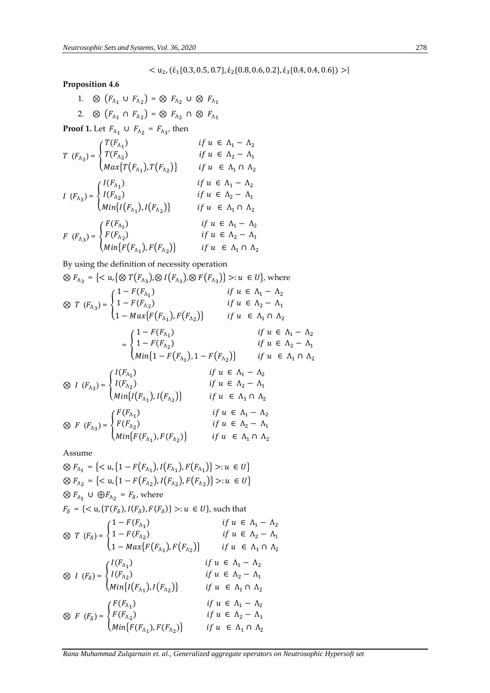# **Proposition 4.6**

1. 
$$
\otimes (F_{\Lambda_1} \cup F_{\Lambda_2}) = \otimes F_{\Lambda_2} \cup \otimes F_{\Lambda_1}
$$
  
2.  $\otimes (F_{\Lambda_1} \cap F_{\Lambda_2}) = \otimes F_{\Lambda_2} \cap \otimes F_{\Lambda_1}$ 

**Proof 1.** Let  $F_{\Lambda_1} \cup F_{\Lambda_2} = F_{\Lambda_3}$ , then

$$
T (F_{\Lambda_3}) = \begin{cases} T(F_{\Lambda_1}) & \text{if } u \in \Lambda_1 - \Lambda_2 \\ T(F_{\Lambda_2}) & \text{if } u \in \Lambda_2 - \Lambda_1 \\ \text{Max} \{ T(F_{\Lambda_1}), T(F_{\Lambda_2}) \} & \text{if } u \in \Lambda_1 \cap \Lambda_2 \end{cases}
$$
  

$$
I (F_{\Lambda_3}) = \begin{cases} I(F_{\Lambda_1}) & \text{if } u \in \Lambda_1 \cap \Lambda_2 \\ I(F_{\Lambda_2}) & \text{if } u \in \Lambda_1 - \Lambda_2 \\ \text{Min} \{ I(F_{\Lambda_1}), I(F_{\Lambda_2}) \} & \text{if } u \in \Lambda_2 - \Lambda_1 \\ \text{if } u \in \Lambda_1 \cap \Lambda_2 \end{cases}
$$
  

$$
F (F_{\Lambda_3}) = \begin{cases} F(F_{\Lambda_1}) & \text{if } u \in \Lambda_1 - \Lambda_2 \\ F(F_{\Lambda_2}) & \text{if } u \in \Lambda_1 - \Lambda_2 \\ \text{Min} \{ F(F_{\Lambda_1}), F(F_{\Lambda_2}) \} & \text{if } u \in \Lambda_2 - \Lambda_1 \\ \text{Min} \{ F(F_{\Lambda_1}), F(F_{\Lambda_2}) \} & \text{if } u \in \Lambda_1 \cap \Lambda_2 \end{cases}
$$

By using the definition of necessity operation

$$
\otimes F_{\Lambda_3} = \{< u, \{ \otimes T(F_{\Lambda_3}), \otimes I(F_{\Lambda_3}), \otimes F(F_{\Lambda_3}) \} > : u \in U \}, \text{ where}
$$
\n
$$
\otimes T (F_{\Lambda_3}) = \begin{cases}\n1 - F(F_{\Lambda_1}) & \text{if } u \in \Lambda_1 - \Lambda_2 \\
1 - F(F_{\Lambda_2}) & \text{if } u \in \Lambda_2 - \Lambda_1 \\
1 - \max\{F(F_{\Lambda_1}), F(F_{\Lambda_2})\} & \text{if } u \in \Lambda_1 \cap \Lambda_2\n\end{cases}
$$
\n
$$
= \begin{cases}\n1 - F(F_{\Lambda_1}) & \text{if } u \in \Lambda_1 - \Lambda_2 \\
1 - F(F_{\Lambda_2}) & \text{if } u \in \Lambda_1 - \Lambda_2 \\
\text{Min}\{1 - F(F_{\Lambda_1}), 1 - F(F_{\Lambda_2})\} & \text{if } u \in \Lambda_1 \cap \Lambda_2\n\end{cases}
$$
\n
$$
\otimes I (F_{\Lambda_3}) = \begin{cases}\nI(F_{\Lambda_1}) & \text{if } u \in \Lambda_1 - \Lambda_2 \\
I(F_{\Lambda_2}) & \text{if } u \in \Lambda_2 - \Lambda_1 \\
\text{Min}\{I(F_{\Lambda_1}), I(F_{\Lambda_2})\} & \text{if } u \in \Lambda_1 \cap \Lambda_2\n\end{cases}
$$
\n
$$
\begin{cases}\nF(F_{\Lambda_1}) & \text{if } u \in \Lambda_1 - \Lambda_2 \\
I(f_{\Lambda_2}) & \text{if } u \in \Lambda_1 - \Lambda_2\n\end{cases}
$$

$$
\otimes \ \ F \ (F_{\Lambda_3}) = \begin{cases} F(F_{\Lambda_2}) & \text{if } u \in \Lambda_2 - \Lambda_1 \\ \text{Min}\{F(F_{\Lambda_1}), F(F_{\Lambda_2})\} & \text{if } u \in \Lambda_1 \cap \Lambda_2 \end{cases}
$$

Assume

$$
\bigotimes F_{\Lambda_1} = \{ \langle u, \{1 - F(F_{\Lambda_1}), I(F_{\Lambda_1}), F(F_{\Lambda_1}) \} \rangle : u \in U \}
$$
  
\n
$$
\bigotimes F_{\Lambda_2} = \{ \langle u, \{1 - F(F_{\Lambda_2}), I(F_{\Lambda_2}), F(F_{\Lambda_2}) \} \rangle : u \in U \}
$$
  
\n
$$
\bigotimes F_{\Lambda_1} \cup \bigoplus F_{\Lambda_2} = F_{\delta}, \text{ where}
$$
  
\n
$$
F_{\delta} = \{ \langle u, \{T(F_{\delta}), I(F_{\delta}), F(F_{\delta}) \} \rangle : u \in U \}, \text{ such that}
$$
  
\n
$$
\bigotimes T (F_{\delta}) = \begin{cases} 1 - F(F_{\Lambda_1}) & \text{if } u \in \Lambda_1 - \Lambda_2 \\ 1 - F(F_{\Lambda_2}) & \text{if } u \in \Lambda_2 - \Lambda_1 \\ 1 - \max\{F(F_{\Lambda_1}), F(F_{\Lambda_2}) \} & \text{if } u \in \Lambda_1 \cap \Lambda_2 \end{cases}
$$
  
\n
$$
\bigotimes I (F_{\delta}) = \begin{cases} I(F_{\Lambda_1}) & \text{if } u \in \Lambda_1 - \Lambda_2 \\ I(F_{\Lambda_2}) & \text{if } u \in \Lambda_2 - \Lambda_1 \\ \text{Min}\{I(F_{\Lambda_1}), I(F_{\Lambda_2}) \} & \text{if } u \in \Lambda_1 \cap \Lambda_2 \\ \text{if } u \in \Lambda_1 - \Lambda_2 \\ \text{if } u \in \Lambda_1 - \Lambda_2 \\ \text{if } u \in \Lambda_1 - \Lambda_2 \\ \text{Min}\{F(F_{\Lambda_1}), F(F_{\Lambda_2}) \} & \text{if } u \in \Lambda_1 - \Lambda_2 \\ \text{Min}\{F(F_{\Lambda_1}), F(F_{\Lambda_2}) \} & \text{if } u \in \Lambda_1 - \Lambda_2 \end{cases}
$$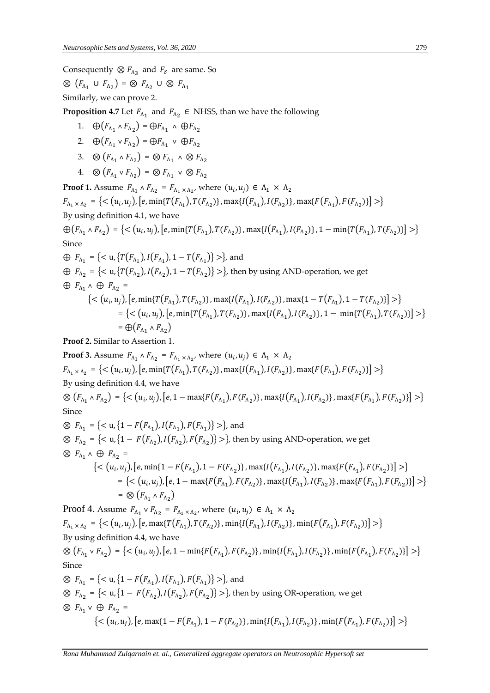Consequently  $\otimes F_{\Lambda_3}$  and  $F_{\delta}$  are same. So

 $\otimes$   $(F_{\Lambda_1} \cup F_{\Lambda_2}) = \otimes F_{\Lambda_2} \cup \otimes F_{\Lambda_1}$ Similarly, we can prove 2.

**Proposition 4.7** Let  $F_{\Lambda_1}$  and  $F_{\Lambda_2} \in \text{NHSS}$ , than we have the following

- 1.  $\oplus (F_{\Lambda_1} \wedge F_{\Lambda_2}) = \oplus F_{\Lambda_1} \wedge \oplus F_{\Lambda_2}$
- 2.  $\oplus (F_{\Lambda_1} \vee F_{\Lambda_2}) = \oplus F_{\Lambda_1} \vee \oplus F_{\Lambda_2}$
- 3.  $\otimes$   $(F_{\Lambda_1} \wedge F_{\Lambda_2}) = \otimes F_{\Lambda_1} \wedge \otimes F_{\Lambda_2}$
- 4.  $\otimes$   $(F_{\Lambda_1} \vee F_{\Lambda_2}) = \otimes F_{\Lambda_1} \vee \otimes F_{\Lambda_2}$

**Proof 1.** Assume  $F_{\Lambda_1} \wedge F_{\Lambda_2} = F_{\Lambda_1 \times \Lambda_2}$ , where  $(u_i, u_j) \in \Lambda_1 \times \Lambda_2$  $F_{\Lambda_1 \times \Lambda_2} = \{ \langle (u_i, u_j), [e, \min\{T(F_{\Lambda_1}), T(F_{\Lambda_2})\}, \max\{I(F_{\Lambda_1}), I(F_{\Lambda_2})\}, \max\{F(F_{\Lambda_1}), F(F_{\Lambda_2})\} \rangle \} \rangle$ By using definition 4.1, we have

 $\bigoplus \bigl(F_{\Lambda_1}\wedge F_{\Lambda_2}\bigr)=\bigl\{<\bigl(u_i,u_j\bigr),\bigl[e,\min\{T\bigl(F_{\Lambda_1}\bigr),T\bigl(F_{\Lambda_2}\bigr)\},\max\{I\bigl(F_{\Lambda_1}\bigr),I\bigl(F_{\Lambda_2}\bigr)\},1-\min\{T\bigl(F_{\Lambda_1}\bigr),T\bigl(F_{\Lambda_2}\bigr)\}\bigl]> \bigl\}$ Since

 $\oplus$   $F_{\Lambda_1} = \{ \langle u, \{ T(F_{\Lambda_1}), I(F_{\Lambda_1}), 1 - T(F_{\Lambda_1}) \} \rangle \}$ , and  $\bigoplus F_{\Lambda_2} = \{<\mathsf{u},\{T(F_{\Lambda_2}),I(F_{\Lambda_2}),1-T(F_{\Lambda_2})\}> \},\$  then by using AND-operation, we get  $\oplus$   $F_{\Lambda_1} \wedge \oplus F_{\Lambda_2} =$  $\{<(u_i, u_j), [e, \min\{T(F_{\Lambda_1}), T(F_{\Lambda_2})\}, \max\{I(F_{\Lambda_1}), I(F_{\Lambda_2})\}, \max\{1-T(F_{\Lambda_1}), 1-T(F_{\Lambda_2})\}]>)\}$  $=\{<(u_i, u_j), [e, \min\{T(F_{\Lambda_1}), T(F_{\Lambda_2})\}, \max\{I(F_{\Lambda_1}), I(F_{\Lambda_2})\}, 1-\min\{T(F_{\Lambda_1}), T(F_{\Lambda_2})\}]>\}$  $= \bigoplus (F_{\Lambda_1} \wedge F_{\Lambda_2})$ 

**Proof 2.** Similar to Assertion 1.

**Proof 3.** Assume  $F_{\Lambda_1} \wedge F_{\Lambda_2} = F_{\Lambda_1 \times \Lambda_2}$ , where  $(u_i, u_j) \in \Lambda_1 \times \Lambda_2$  $F_{\Lambda_1 \times \Lambda_2} = \{ \langle (u_i, u_j), [e, \min\{T(F_{\Lambda_1}), T(F_{\Lambda_2})\}, \max\{I(F_{\Lambda_1}), I(F_{\Lambda_2})\}, \max\{F(F_{\Lambda_1}), F(F_{\Lambda_2})\} \rangle \} \rangle$ By using definition 4.4, we have  $\otimes (F_{\Lambda_1} \wedge F_{\Lambda_2}) = \{ \langle (u_i, u_j), [e, 1 - \max\{F(F_{\Lambda_1}), F(F_{\Lambda_2})\}, \max\{I(F_{\Lambda_1}), I(F_{\Lambda_2})\}, \max\{F(F_{\Lambda_1}), F(F_{\Lambda_2})\} \rangle \} \rangle$ Since ⊗  $F_{\Lambda_1} = \{  \},$  and ⊗  $F_{\Lambda_2}$  = {< u,{1 −  $F(F_{\Lambda_2})$ ,  $I(F_{\Lambda_2})$ ,  $F(F_{\Lambda_2})$ } >}, then by using AND-operation, we get  $\otimes$   $F_{\Lambda_1} \wedge \oplus F_{\Lambda_2} =$  $\{<(u_i,u_j), [e,\min\{1-F(F_{\Lambda_1}),1-F(F_{\Lambda_2})\},\max\{I(F_{\Lambda_1}),I(F_{\Lambda_2})\},\max\{F(F_{\Lambda_1}),F(F_{\Lambda_2})\}]>\}$  $=\{<(u_i,u_j),[e,1-\max\{F(F_{\Lambda_1}),F(F_{\Lambda_2})\},\max\{I(F_{\Lambda_1}),I(F_{\Lambda_2})\},\max\{F(F_{\Lambda_1}),F(F_{\Lambda_2})\}]>\}$  $= \otimes (F_{\Lambda_1} \wedge F_{\Lambda_2})$ 

Proof 4. Assume  $F_{\Lambda_1} \vee F_{\Lambda_2} = F_{\Lambda_1 \times \Lambda_2}$ , where  $(u_i, u_j) \in \Lambda_1 \times \Lambda_2$  $F_{\Lambda_1\times\Lambda_2} = \{<(u_i,u_j),[e,\max\{T(F_{\Lambda_1}),T(F_{\Lambda_2})\},\min\{I(F_{\Lambda_1}),I(F_{\Lambda_2})\},\min\{F(F_{\Lambda_1}),F(F_{\Lambda_2})\}]>\}$ By using definition 4.4, we have  $\otimes (F_{\Lambda_1} \vee F_{\Lambda_2}) = \{ \langle (u_i, u_j), [e, 1 - \min\{F(F_{\Lambda_1}), F(F_{\Lambda_2})\}, \min\{I(F_{\Lambda_1}), I(F_{\Lambda_2})\}, \min\{F(F_{\Lambda_1}), F(F_{\Lambda_2})\} \rangle \}$ Since ⊗  $F_{\Lambda_1} = \{  \},$  and ⊗  $F_{\Lambda_2}$  = {< u,{1 –  $F(F_{\Lambda_2})$ ,  $I(F_{\Lambda_2})$ ,  $F(F_{\Lambda_2})$ } >}, then by using OR-operation, we get  $\otimes$   $F_{\Lambda_1} \vee \oplus F_{\Lambda_2} =$  $\{<(u_i,u_j),[e,\max\{1-F(F_{\Lambda_1}),1-F(F_{\Lambda_2})\},\min\{I(F_{\Lambda_1}),I(F_{\Lambda_2})\},\min\{F(F_{\Lambda_1}),F(F_{\Lambda_2})\}]>\}$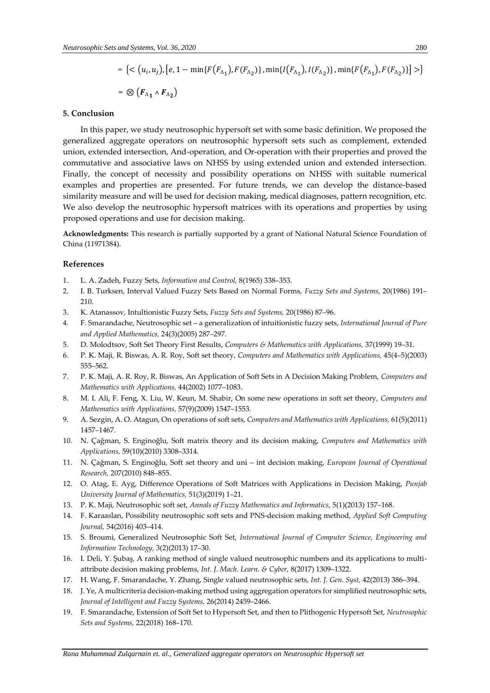$$
= \left\{ \langle (u_i, u_j), [e, 1 - \min\{F(F_{\Lambda_1}), F(F_{\Lambda_2})\}, \min\{I(F_{\Lambda_1}), I(F_{\Lambda_2})\}, \min\{F(F_{\Lambda_1}), F(F_{\Lambda_2})\} \rangle \right\}
$$
  
=  $\otimes (F_{\Lambda_1} \wedge F_{\Lambda_2})$ 

## **5. Conclusion**

In this paper, we study neutrosophic hypersoft set with some basic definition. We proposed the generalized aggregate operators on neutrosophic hypersoft sets such as complement, extended union, extended intersection, And-operation, and Or-operation with their properties and proved the commutative and associative laws on NHSS by using extended union and extended intersection. Finally, the concept of necessity and possibility operations on NHSS with suitable numerical examples and properties are presented. For future trends, we can develop the distance-based similarity measure and will be used for decision making, medical diagnoses, pattern recognition, etc. We also develop the neutrosophic hypersoft matrices with its operations and properties by using proposed operations and use for decision making.

**Acknowledgments:** This research is partially supported by a grant of National Natural Science Foundation of China (11971384).

## **References**

- 1. L. A. Zadeh, Fuzzy Sets, *Information and Control,* 8(1965) 338–353.
- 2. I. B. Turksen, Interval Valued Fuzzy Sets Based on Normal Forms, *Fuzzy Sets and Systems*, 20(1986) 191– 210.
- 3. K. Atanassov, Intultionistic Fuzzy Sets, *Fuzzy Sets and Systems,* 20(1986) 87–96.
- 4. F. Smarandache, Neutrosophic set a generalization of intuitionistic fuzzy sets, *International Journal of Pure and Applied Mathematics,* 24(3)(2005) 287–297.
- 5. D. Molodtsov, Soft Set Theory First Results, *Computers & Mathematics with Applications,* 37(1999) 19–31.
- 6. P. K. Maji, R. Biswas, A. R. Roy, Soft set theory, *Computers and Mathematics with Applications,* 45(4–5)(2003) 555–562.
- 7. P. K. Maji, A. R. Roy, R. Biswas, An Application of Soft Sets in A Decision Making Problem, *Computers and Mathematics with Applications,* 44(2002) 1077–1083.
- 8. M. I. Ali, F. Feng, X. Liu, W. Keun, M. Shabir, On some new operations in soft set theory, *Computers and Mathematics with Applications,* 57(9)(2009) 1547–1553.
- 9. A. Sezgin, A. O. Atagun, On operations of soft sets, *Computers and Mathematics with Applications,* 61(5)(2011) 1457–1467.
- 10. N. Çağman, S. Enginoğlu, Soft matrix theory and its decision making, *Computers and Mathematics with Applications,* 59(10)(2010) 3308–3314.
- 11. N. Çağman, S. Enginoğlu, Soft set theory and uni int decision making, *European Journal of Operational Research,* 207(2010) 848–855.
- 12. O. Atag, E. Ayg, Difference Operations of Soft Matrices with Applications in Decision Making, *Punjab University Journal of Mathematics,* 51(3)(2019) 1–21.
- 13. P. K. Maji, Neutrosophic soft set, *Annals of Fuzzy Mathematics and Informatics,* 5(1)(2013) 157–168.
- 14. F. Karaaslan, Possibility neutrosophic soft sets and PNS-decision making method, *Applied Soft Computing Journal,* 54(2016) 403–414.
- 15. S. Broumi, Generalized Neutrosophic Soft Set, *International Journal of Computer Science, Engineering and Information Technology,* 3(2)(2013) 17–30.
- 16. I. Deli, Y. Şubaş, A ranking method of single valued neutrosophic numbers and its applications to multiattribute decision making problems, *Int. J. Mach. Learn. & Cyber,* 8(2017) 1309–1322.
- 17. H. Wang, F. Smarandache, Y. Zhang, Single valued neutrosophic sets, *Int. J. Gen. Syst,* 42(2013) 386–394.
- 18. J. Ye, A multicriteria decision-making method using aggregation operators for simplified neutrosophic sets, *Journal of Intelligent and Fuzzy Systems,* 26(2014) 2459–2466.
- 19. F. Smarandache, Extension of Soft Set to Hypersoft Set, and then to Plithogenic Hypersoft Set, *Neutrosophic Sets and Systems,* 22(2018) 168–170.